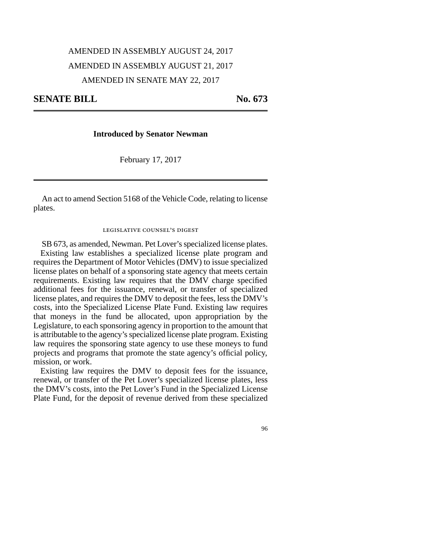# AMENDED IN ASSEMBLY AUGUST 24, 2017 AMENDED IN ASSEMBLY AUGUST 21, 2017 AMENDED IN SENATE MAY 22, 2017

## **SENATE BILL** No. 673

### **Introduced by Senator Newman**

February 17, 2017

An act to amend Section 5168 of the Vehicle Code, relating to license plates.

#### legislative counsel's digest

SB 673, as amended, Newman. Pet Lover's specialized license plates. Existing law establishes a specialized license plate program and requires the Department of Motor Vehicles (DMV) to issue specialized license plates on behalf of a sponsoring state agency that meets certain requirements. Existing law requires that the DMV charge specified additional fees for the issuance, renewal, or transfer of specialized license plates, and requires the DMV to deposit the fees, less the DMV's costs, into the Specialized License Plate Fund. Existing law requires that moneys in the fund be allocated, upon appropriation by the Legislature, to each sponsoring agency in proportion to the amount that is attributable to the agency's specialized license plate program. Existing law requires the sponsoring state agency to use these moneys to fund projects and programs that promote the state agency's official policy, mission, or work.

Existing law requires the DMV to deposit fees for the issuance, renewal, or transfer of the Pet Lover's specialized license plates, less the DMV's costs, into the Pet Lover's Fund in the Specialized License Plate Fund, for the deposit of revenue derived from these specialized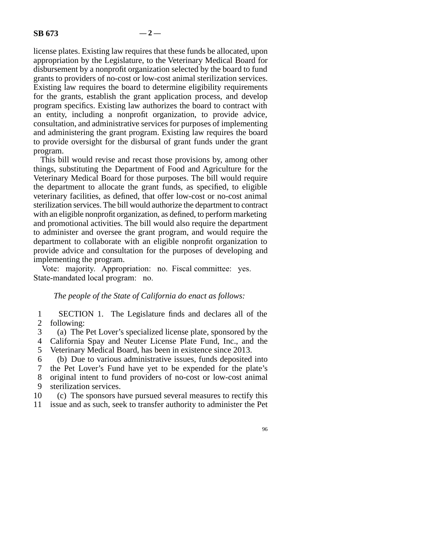license plates. Existing law requires that these funds be allocated, upon appropriation by the Legislature, to the Veterinary Medical Board for disbursement by a nonprofit organization selected by the board to fund grants to providers of no-cost or low-cost animal sterilization services. Existing law requires the board to determine eligibility requirements for the grants, establish the grant application process, and develop program specifics. Existing law authorizes the board to contract with an entity, including a nonprofit organization, to provide advice, consultation, and administrative services for purposes of implementing and administering the grant program. Existing law requires the board to provide oversight for the disbursal of grant funds under the grant program.

This bill would revise and recast those provisions by, among other things, substituting the Department of Food and Agriculture for the Veterinary Medical Board for those purposes. The bill would require the department to allocate the grant funds, as specified, to eligible veterinary facilities, as defined, that offer low-cost or no-cost animal sterilization services. The bill would authorize the department to contract with an eligible nonprofit organization, as defined, to perform marketing and promotional activities. The bill would also require the department to administer and oversee the grant program, and would require the department to collaborate with an eligible nonprofit organization to provide advice and consultation for the purposes of developing and implementing the program.

Vote: majority. Appropriation: no. Fiscal committee: yes. State-mandated local program: no.

### *The people of the State of California do enact as follows:*

1 SECTION 1. The Legislature finds and declares all of the 2 following:

 line 3 (a) The Pet Lover's specialized license plate, sponsored by the 4 California Spay and Neuter License Plate Fund, Inc., and the

5 Veterinary Medical Board, has been in existence since 2013.

6 (b) Due to various administrative issues, funds deposited into 7 the Pet Lover's Fund have yet to be expended for the plate's the Pet Lover's Fund have yet to be expended for the plate's 8 original intent to fund providers of no-cost or low-cost animal 9 sterilization services.

10 (c) The sponsors have pursued several measures to rectify this

11 issue and as such, seek to transfer authority to administer the Pet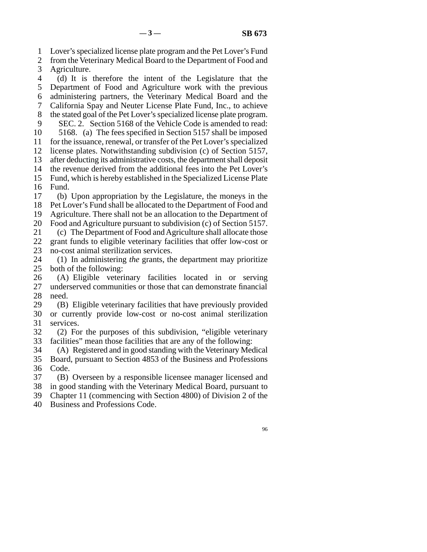line 1 Lover's specialized license plate program and the Pet Lover's Fund

- 2 from the Veterinary Medical Board to the Department of Food and<br>3 Agriculture. Agriculture.
- line 4 (d) It is therefore the intent of the Legislature that the 5 Department of Food and Agriculture work with the previous line 6 administering partners, the Veterinary Medical Board and the 7 California Spay and Neuter License Plate Fund, Inc., to achieve 8 the stated goal of the Pet Lover's specialized license plate program.
- 9 SEC. 2. Section 5168 of the Vehicle Code is amended to read: 10 5168. (a) The fees specified in Section 5157 shall be imposed
- 11 for the issuance, renewal, or transfer of the Pet Lover's specialized
- 12 license plates. Notwithstanding subdivision (c) of Section 5157,
- 13 after deducting its administrative costs, the department shall deposit
- 14 the revenue derived from the additional fees into the Pet Lover's
- 15 Fund, which is hereby established in the Specialized License Plate 16 Fund.
- lacktriangleright 17 (b) Upon appropriation by the Legislature, the moneys in the 18 Pet Lover's Fund shall be allocated to the Department of Food and 19 Agriculture. There shall not be an allocation to the Department of
- 20 Food and Agriculture pursuant to subdivision (c) of Section 5157.
- 21 (c) The Department of Food and Agriculture shall allocate those 22 grant funds to eligible veterinary facilities that offer low-cost or 23 no-cost animal sterilization services.
- 24 (1) In administering *the* grants, the department may prioritize 25 both of the following: both of the following:
- 26 (A) Eligible veterinary facilities located in or serving<br>27 underserved communities or those that can demonstrate financial underserved communities or those that can demonstrate financial 28 need.
- 29 (B) Eligible veterinary facilities that have previously provided 30 or currently provide low-cost or no-cost animal sterilization 31 services.
- 32 (2) For the purposes of this subdivision, "eligible veterinary 33 facilities" mean those facilities that are any of the following:
- 34 (A) Registered and in good standing with the Veterinary Medical 35 Board, pursuant to Section 4853 of the Business and Professions 36 Code.
- 37 (B) Overseen by a responsible licensee manager licensed and 38 in good standing with the Veterinary Medical Board, pursuant to
- 39 Chapter 11 (commencing with Section 4800) of Division 2 of the
- 40 Business and Professions Code.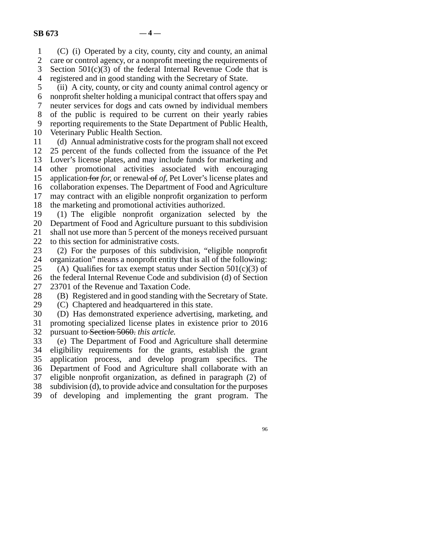line 1 (C) (i) Operated by a city, county, city and county, an animal 2 care or control agency, or a nonprofit meeting the requirements of 3 Section  $501(c)(3)$  of the federal Internal Revenue Code that is Section  $501(c)(3)$  of the federal Internal Revenue Code that is 4 registered and in good standing with the Secretary of State.

 line 5 (ii) A city, county, or city and county animal control agency or line 6 nonprofit shelter holding a municipal contract that offers spay and line 7 neuter services for dogs and cats owned by individual members 8 of the public is required to be current on their yearly rabies 9 reporting requirements to the State Department of Public Health, 10 Veterinary Public Health Section.

11 (d) Annual administrative costs for the program shall not exceed 12 25 percent of the funds collected from the issuance of the Pet 13 Lover's license plates, and may include funds for marketing and 14 other promotional activities associated with encouraging 15 application for *for*, or renewal of *of*, Pet Lover's license plates and 16 collaboration expenses. The Department of Food and Agriculture 17 may contract with an eligible nonprofit organization to perform 18 the marketing and promotional activities authorized.

19 (1) The eligible nonprofit organization selected by the 20 Department of Food and Agriculture pursuant to this subdivision 21 shall not use more than 5 percent of the moneys received pursuant

22 to this section for administrative costs.<br>23 (2) For the purposes of this subdiv  $(2)$  For the purposes of this subdivision, "eligible nonprofit 24 organization" means a nonprofit entity that is all of the following:<br>25 (A) Oualifies for tax exempt status under Section 501(c)(3) of

(A) Qualifies for tax exempt status under Section  $501(c)(3)$  of 26 the federal Internal Revenue Code and subdivision (d) of Section

27 23701 of the Revenue and Taxation Code.

28 (B) Registered and in good standing with the Secretary of State.<br>29 (C) Chaptered and headquartered in this state.

(C) Chaptered and headquartered in this state.

30 (D) Has demonstrated experience advertising, marketing, and 31 promoting specialized license plates in existence prior to 2016 32 pursuant to Section 5060. *this article*.

 line 33 (e) The Department of Food and Agriculture shall determine 34 eligibility requirements for the grants, establish the grant 35 application process, and develop program specifics. The 36 Department of Food and Agriculture shall collaborate with an 37 eligible nonprofit organization, as defined in paragraph (2) of 38 subdivision (d), to provide advice and consultation for the purposes 39 of developing and implementing the grant program. The